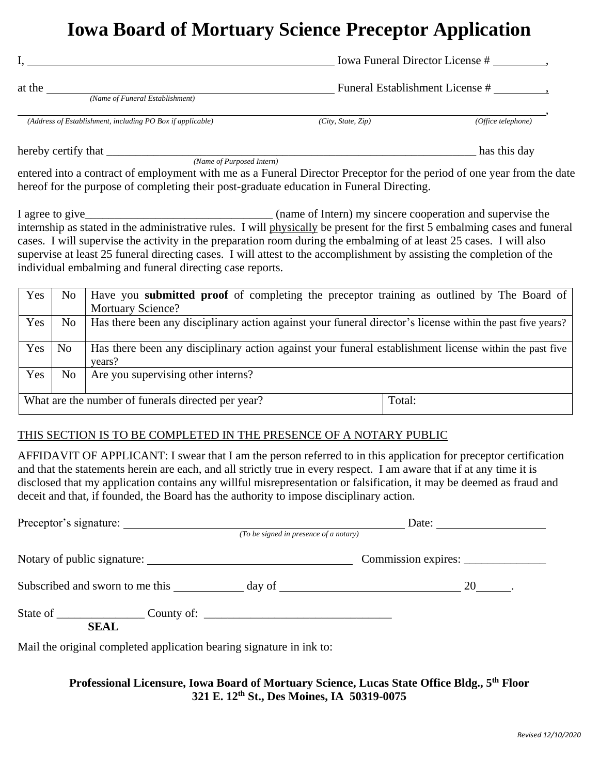# **Iowa Board of Mortuary Science Preceptor Application**

| Iowa Funeral Director License #                                                                                            |                                 |                    |  |
|----------------------------------------------------------------------------------------------------------------------------|---------------------------------|--------------------|--|
| at the                                                                                                                     | Funeral Establishment License # |                    |  |
| (Name of Funeral Establishment)                                                                                            |                                 |                    |  |
| (Address of Establishment, including PO Box if applicable)                                                                 | (City, State, Zip)              | (Office telephone) |  |
| hereby certify that                                                                                                        |                                 | has this day       |  |
| (Name of Purposed Intern)                                                                                                  |                                 |                    |  |
| entered into a contract of employment with me as a Funeral Director Preceptor for the period of one year from the date     |                                 |                    |  |
| hereof for the purpose of completing their post-graduate education in Funeral Directing.                                   |                                 |                    |  |
|                                                                                                                            |                                 |                    |  |
| internship as stated in the administrative rules. I will physically be present for the first 5 embalming cases and funeral |                                 |                    |  |
| cases. I will supervise the activity in the preparation room during the embalming of at least 25 cases. I will also        |                                 |                    |  |
| supervise at least 25 funeral directing cases. I will attest to the accomplishment by assisting the completion of the      |                                 |                    |  |
| individual embalming and funeral directing case reports.                                                                   |                                 |                    |  |

| Yes | N <sub>0</sub> | Have you submitted proof of completing the preceptor training as outlined by The Board of                        |  |  |
|-----|----------------|------------------------------------------------------------------------------------------------------------------|--|--|
|     |                | <b>Mortuary Science?</b>                                                                                         |  |  |
| Yes | No             | Has there been any disciplinary action against your funeral director's license within the past five years?       |  |  |
| Yes | N <sub>o</sub> | Has there been any disciplinary action against your funeral establishment license within the past five<br>years? |  |  |
| Yes | N <sub>0</sub> | Are you supervising other interns?                                                                               |  |  |
|     |                | What are the number of funerals directed per year?<br>Total:                                                     |  |  |

## THIS SECTION IS TO BE COMPLETED IN THE PRESENCE OF A NOTARY PUBLIC

AFFIDAVIT OF APPLICANT: I swear that I am the person referred to in this application for preceptor certification and that the statements herein are each, and all strictly true in every respect. I am aware that if at any time it is disclosed that my application contains any willful misrepresentation or falsification, it may be deemed as fraud and deceit and that, if founded, the Board has the authority to impose disciplinary action.

| Preceptor's signature:<br>(To be signed in presence of a notary)     |  | Date: $\qquad \qquad$               |  |
|----------------------------------------------------------------------|--|-------------------------------------|--|
|                                                                      |  |                                     |  |
| Notary of public signature:                                          |  | Commission expires: _______________ |  |
|                                                                      |  |                                     |  |
| State of <u>Country of:</u> County of:<br><b>SEAL</b>                |  |                                     |  |
| Mail the original completed application bearing signature in ink to: |  |                                     |  |

## **Professional Licensure, Iowa Board of Mortuary Science, Lucas State Office Bldg., 5th Floor 321 E. 12th St., Des Moines, IA 50319-0075**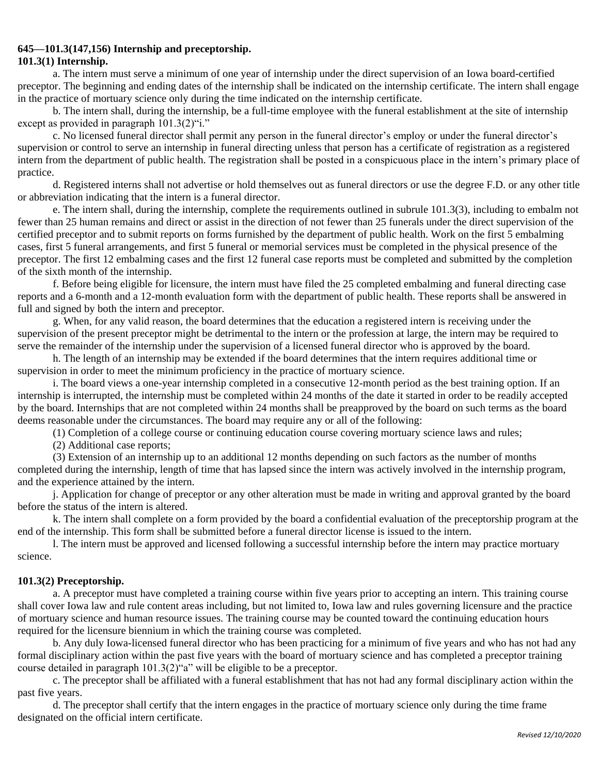## **645—101.3(147,156) Internship and preceptorship.**

### **101.3(1) Internship.**

a. The intern must serve a minimum of one year of internship under the direct supervision of an Iowa board-certified preceptor. The beginning and ending dates of the internship shall be indicated on the internship certificate. The intern shall engage in the practice of mortuary science only during the time indicated on the internship certificate.

b. The intern shall, during the internship, be a full-time employee with the funeral establishment at the site of internship except as provided in paragraph  $101.3(2)$ "i."

c. No licensed funeral director shall permit any person in the funeral director's employ or under the funeral director's supervision or control to serve an internship in funeral directing unless that person has a certificate of registration as a registered intern from the department of public health. The registration shall be posted in a conspicuous place in the intern's primary place of practice.

d. Registered interns shall not advertise or hold themselves out as funeral directors or use the degree F.D. or any other title or abbreviation indicating that the intern is a funeral director.

e. The intern shall, during the internship, complete the requirements outlined in subrule 101.3(3), including to embalm not fewer than 25 human remains and direct or assist in the direction of not fewer than 25 funerals under the direct supervision of the certified preceptor and to submit reports on forms furnished by the department of public health. Work on the first 5 embalming cases, first 5 funeral arrangements, and first 5 funeral or memorial services must be completed in the physical presence of the preceptor. The first 12 embalming cases and the first 12 funeral case reports must be completed and submitted by the completion of the sixth month of the internship.

f. Before being eligible for licensure, the intern must have filed the 25 completed embalming and funeral directing case reports and a 6-month and a 12-month evaluation form with the department of public health. These reports shall be answered in full and signed by both the intern and preceptor.

g. When, for any valid reason, the board determines that the education a registered intern is receiving under the supervision of the present preceptor might be detrimental to the intern or the profession at large, the intern may be required to serve the remainder of the internship under the supervision of a licensed funeral director who is approved by the board.

h. The length of an internship may be extended if the board determines that the intern requires additional time or supervision in order to meet the minimum proficiency in the practice of mortuary science.

i. The board views a one-year internship completed in a consecutive 12-month period as the best training option. If an internship is interrupted, the internship must be completed within 24 months of the date it started in order to be readily accepted by the board. Internships that are not completed within 24 months shall be preapproved by the board on such terms as the board deems reasonable under the circumstances. The board may require any or all of the following:

(1) Completion of a college course or continuing education course covering mortuary science laws and rules;

(2) Additional case reports;

(3) Extension of an internship up to an additional 12 months depending on such factors as the number of months completed during the internship, length of time that has lapsed since the intern was actively involved in the internship program, and the experience attained by the intern.

j. Application for change of preceptor or any other alteration must be made in writing and approval granted by the board before the status of the intern is altered.

k. The intern shall complete on a form provided by the board a confidential evaluation of the preceptorship program at the end of the internship. This form shall be submitted before a funeral director license is issued to the intern.

l. The intern must be approved and licensed following a successful internship before the intern may practice mortuary science.

### **101.3(2) Preceptorship.**

a. A preceptor must have completed a training course within five years prior to accepting an intern. This training course shall cover Iowa law and rule content areas including, but not limited to, Iowa law and rules governing licensure and the practice of mortuary science and human resource issues. The training course may be counted toward the continuing education hours required for the licensure biennium in which the training course was completed.

b. Any duly Iowa-licensed funeral director who has been practicing for a minimum of five years and who has not had any formal disciplinary action within the past five years with the board of mortuary science and has completed a preceptor training course detailed in paragraph 101.3(2)"a" will be eligible to be a preceptor.

c. The preceptor shall be affiliated with a funeral establishment that has not had any formal disciplinary action within the past five years.

d. The preceptor shall certify that the intern engages in the practice of mortuary science only during the time frame designated on the official intern certificate.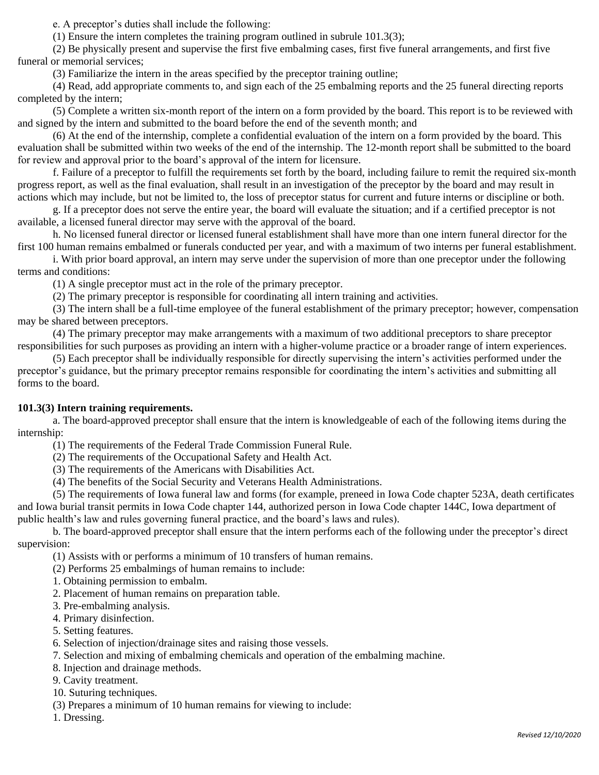e. A preceptor's duties shall include the following:

(1) Ensure the intern completes the training program outlined in subrule 101.3(3);

(2) Be physically present and supervise the first five embalming cases, first five funeral arrangements, and first five funeral or memorial services;

(3) Familiarize the intern in the areas specified by the preceptor training outline;

(4) Read, add appropriate comments to, and sign each of the 25 embalming reports and the 25 funeral directing reports completed by the intern;

(5) Complete a written six-month report of the intern on a form provided by the board. This report is to be reviewed with and signed by the intern and submitted to the board before the end of the seventh month; and

(6) At the end of the internship, complete a confidential evaluation of the intern on a form provided by the board. This evaluation shall be submitted within two weeks of the end of the internship. The 12-month report shall be submitted to the board for review and approval prior to the board's approval of the intern for licensure.

f. Failure of a preceptor to fulfill the requirements set forth by the board, including failure to remit the required six-month progress report, as well as the final evaluation, shall result in an investigation of the preceptor by the board and may result in actions which may include, but not be limited to, the loss of preceptor status for current and future interns or discipline or both.

g. If a preceptor does not serve the entire year, the board will evaluate the situation; and if a certified preceptor is not available, a licensed funeral director may serve with the approval of the board.

h. No licensed funeral director or licensed funeral establishment shall have more than one intern funeral director for the first 100 human remains embalmed or funerals conducted per year, and with a maximum of two interns per funeral establishment.

i. With prior board approval, an intern may serve under the supervision of more than one preceptor under the following terms and conditions:

(1) A single preceptor must act in the role of the primary preceptor.

(2) The primary preceptor is responsible for coordinating all intern training and activities.

(3) The intern shall be a full-time employee of the funeral establishment of the primary preceptor; however, compensation may be shared between preceptors.

(4) The primary preceptor may make arrangements with a maximum of two additional preceptors to share preceptor responsibilities for such purposes as providing an intern with a higher-volume practice or a broader range of intern experiences.

(5) Each preceptor shall be individually responsible for directly supervising the intern's activities performed under the preceptor's guidance, but the primary preceptor remains responsible for coordinating the intern's activities and submitting all forms to the board.

### **101.3(3) Intern training requirements.**

a. The board-approved preceptor shall ensure that the intern is knowledgeable of each of the following items during the internship:

(1) The requirements of the Federal Trade Commission Funeral Rule.

(2) The requirements of the Occupational Safety and Health Act.

(3) The requirements of the Americans with Disabilities Act.

(4) The benefits of the Social Security and Veterans Health Administrations.

(5) The requirements of Iowa funeral law and forms (for example, preneed in Iowa Code chapter 523A, death certificates and Iowa burial transit permits in Iowa Code chapter 144, authorized person in Iowa Code chapter 144C, Iowa department of public health's law and rules governing funeral practice, and the board's laws and rules).

b. The board-approved preceptor shall ensure that the intern performs each of the following under the preceptor's direct supervision:

(1) Assists with or performs a minimum of 10 transfers of human remains.

(2) Performs 25 embalmings of human remains to include:

- 1. Obtaining permission to embalm.
- 2. Placement of human remains on preparation table.
- 3. Pre-embalming analysis.
- 4. Primary disinfection.
- 5. Setting features.
- 6. Selection of injection/drainage sites and raising those vessels.
- 7. Selection and mixing of embalming chemicals and operation of the embalming machine.
- 8. Injection and drainage methods.
- 9. Cavity treatment.
- 10. Suturing techniques.
- (3) Prepares a minimum of 10 human remains for viewing to include:
- 1. Dressing.